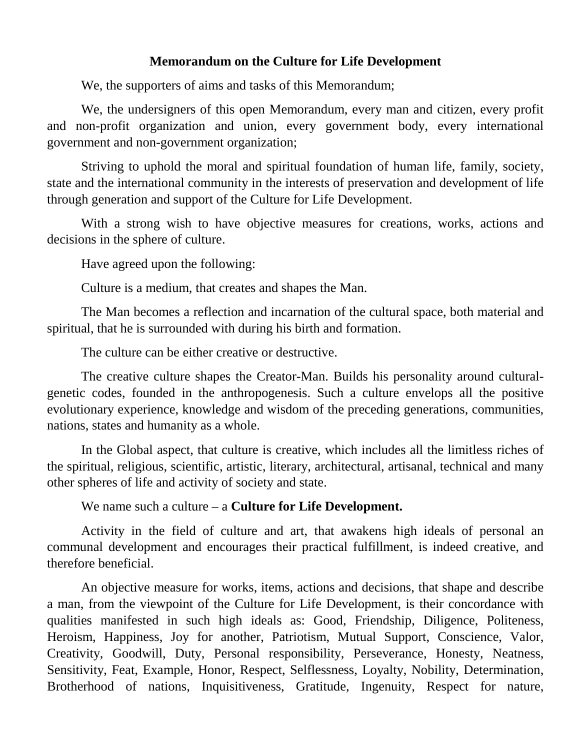## **Memorandum on the Culture for Life Development**

We, the supporters of aims and tasks of this Memorandum;

We, the undersigners of this open Memorandum, every man and citizen, every profit and non-profit organization and union, every government body, every international government and non-government organization;

Striving to uphold the moral and spiritual foundation of human life, family, society, state and the international community in the interests of preservation and development of life through generation and support of the Culture for Life Development.

With a strong wish to have objective measures for creations, works, actions and decisions in the sphere of culture.

Have agreed upon the following:

Culture is a medium, that creates and shapes the Man.

The Man becomes a reflection and incarnation of the cultural space, both material and spiritual, that he is surrounded with during his birth and formation.

The culture can be either creative or destructive.

The creative culture shapes the Creator-Man. Builds his personality around culturalgenetic codes, founded in the anthropogenesis. Such a culture envelops all the positive evolutionary experience, knowledge and wisdom of the preceding generations, communities, nations, states and humanity as a whole.

In the Global aspect, that culture is creative, which includes all the limitless riches of the spiritual, religious, scientific, artistic, literary, architectural, artisanal, technical and many other spheres of life and activity of society and state.

We name such a culture – a **Culture for Life Development.**

Activity in the field of culture and art, that awakens high ideals of personal an communal development and encourages their practical fulfillment, is indeed creative, and therefore beneficial.

An objective measure for works, items, actions and decisions, that shape and describe a man, from the viewpoint of the Culture for Life Development, is their concordance with qualities manifested in such high ideals as: Good, Friendship, Diligence, Politeness, Heroism, Happiness, Joy for another, Patriotism, Mutual Support, Conscience, Valor, Creativity, Goodwill, Duty, Personal responsibility, Perseverance, Honesty, Neatness, Sensitivity, Feat, Example, Honor, Respect, Selflessness, Loyalty, Nobility, Determination, Brotherhood of nations, Inquisitiveness, Gratitude, Ingenuity, Respect for nature,